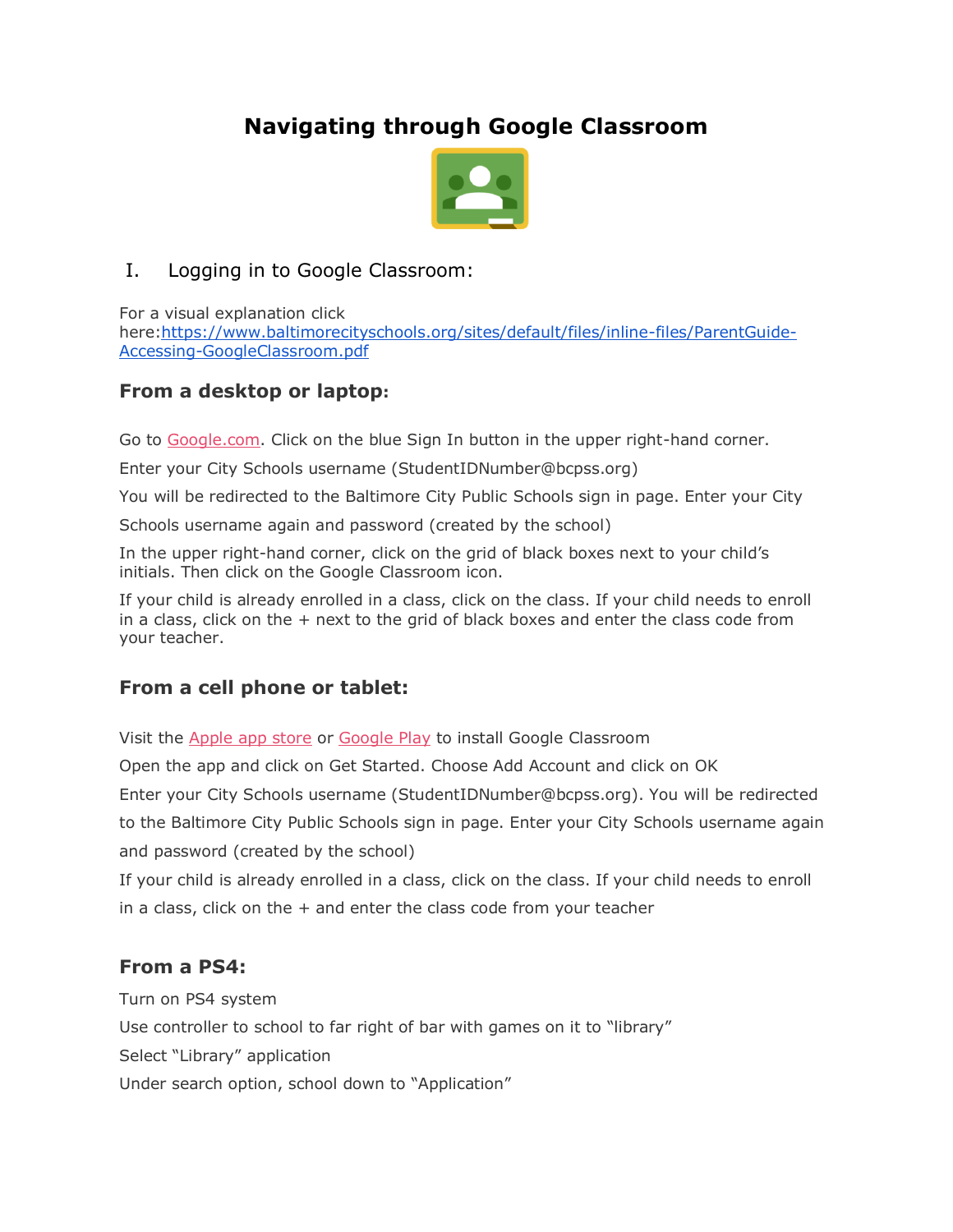# **Navigating through Google Classroom**



### I. Logging in to Google Classroom:

For a visual explanation click here[:https://www.baltimorecityschools.org/sites/default/files/inline-files/ParentGuide-](https://www.baltimorecityschools.org/sites/default/files/inline-files/ParentGuide-Accessing-GoogleClassroom.pdf)[Accessing-GoogleClassroom.pdf](https://www.baltimorecityschools.org/sites/default/files/inline-files/ParentGuide-Accessing-GoogleClassroom.pdf)

## **From a desktop or laptop:**

Go to [Google.com.](https://google.com/) Click on the blue Sign In button in the upper right-hand corner.

Enter your City Schools username (StudentIDNumber@bcpss.org)

You will be redirected to the Baltimore City Public Schools sign in page. Enter your City

Schools username again and password (created by the school)

In the upper right-hand corner, click on the grid of black boxes next to your child's initials. Then click on the Google Classroom icon.

If your child is already enrolled in a class, click on the class. If your child needs to enroll in a class, click on the  $+$  next to the grid of black boxes and enter the class code from your teacher.

## **From a cell phone or tablet:**

Visit the [Apple app store](https://www.apple.com/ios/app-store/) or [Google Play](https://play.google.com/store?hl=en_US) to install Google Classroom

Open the app and click on Get Started. Choose Add Account and click on OK

Enter your City Schools username (StudentIDNumber@bcpss.org). You will be redirected

to the Baltimore City Public Schools sign in page. Enter your City Schools username again and password (created by the school)

If your child is already enrolled in a class, click on the class. If your child needs to enroll in a class, click on the  $+$  and enter the class code from your teacher

## **From a PS4:**

Turn on PS4 system Use controller to school to far right of bar with games on it to "library" Select "Library" application Under search option, school down to "Application"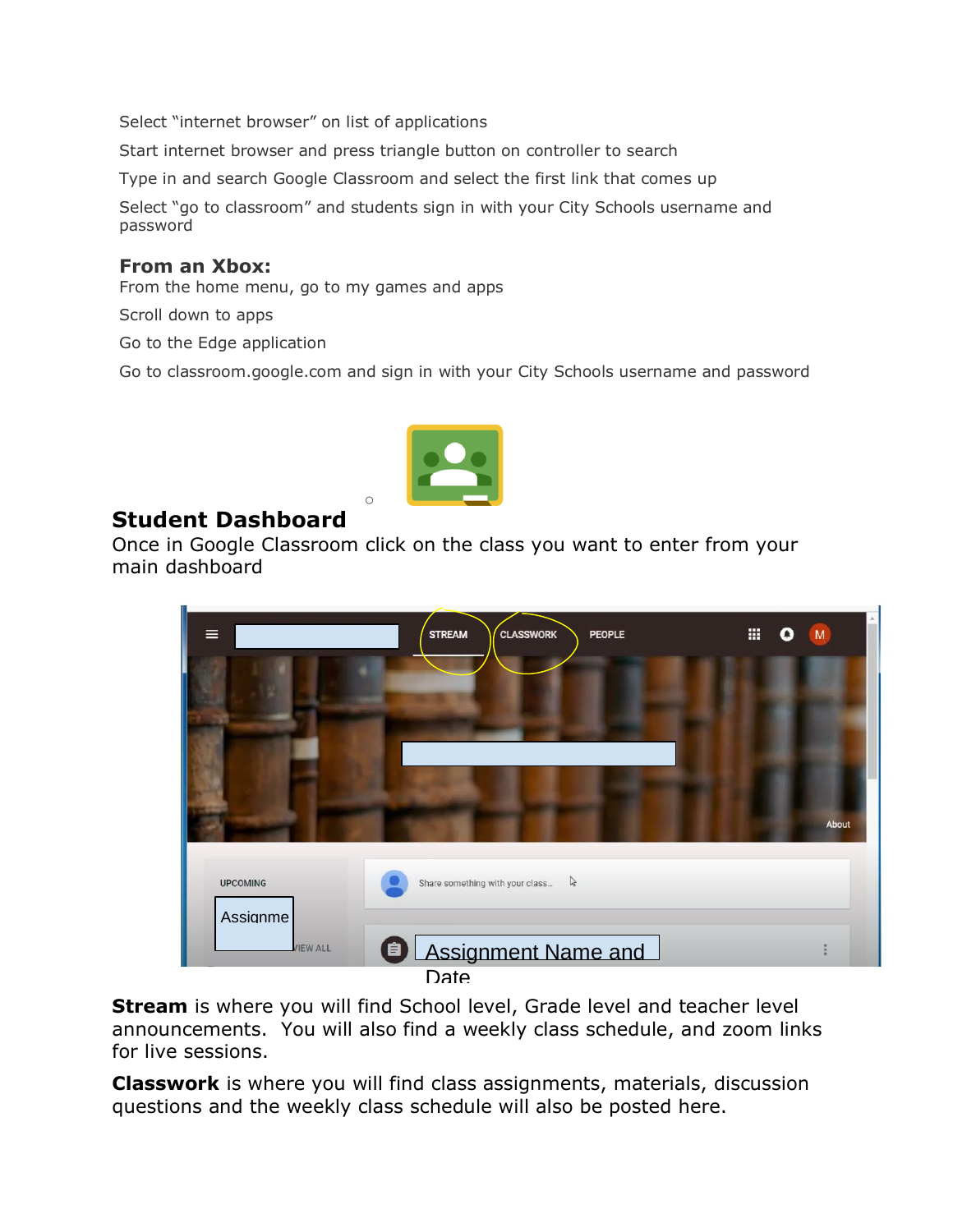Select "internet browser" on list of applications

Start internet browser and press triangle button on controller to search

Type in and search Google Classroom and select the first link that comes up

Select "go to classroom" and students sign in with your City Schools username and password

#### **From an Xbox:**

From the home menu, go to my games and apps

Scroll down to apps

Go to the Edge application

Go to classroom.google.com and sign in with your City Schools username and password



 $\circ$ 

## **Student Dashboard**

Once in Google Classroom click on the class you want to enter from your main dashboard



**Stream** is where you will find School level, Grade level and teacher level announcements. You will also find a weekly class schedule, and zoom links for live sessions.

**Classwork** is where you will find class assignments, materials, discussion questions and the weekly class schedule will also be posted here.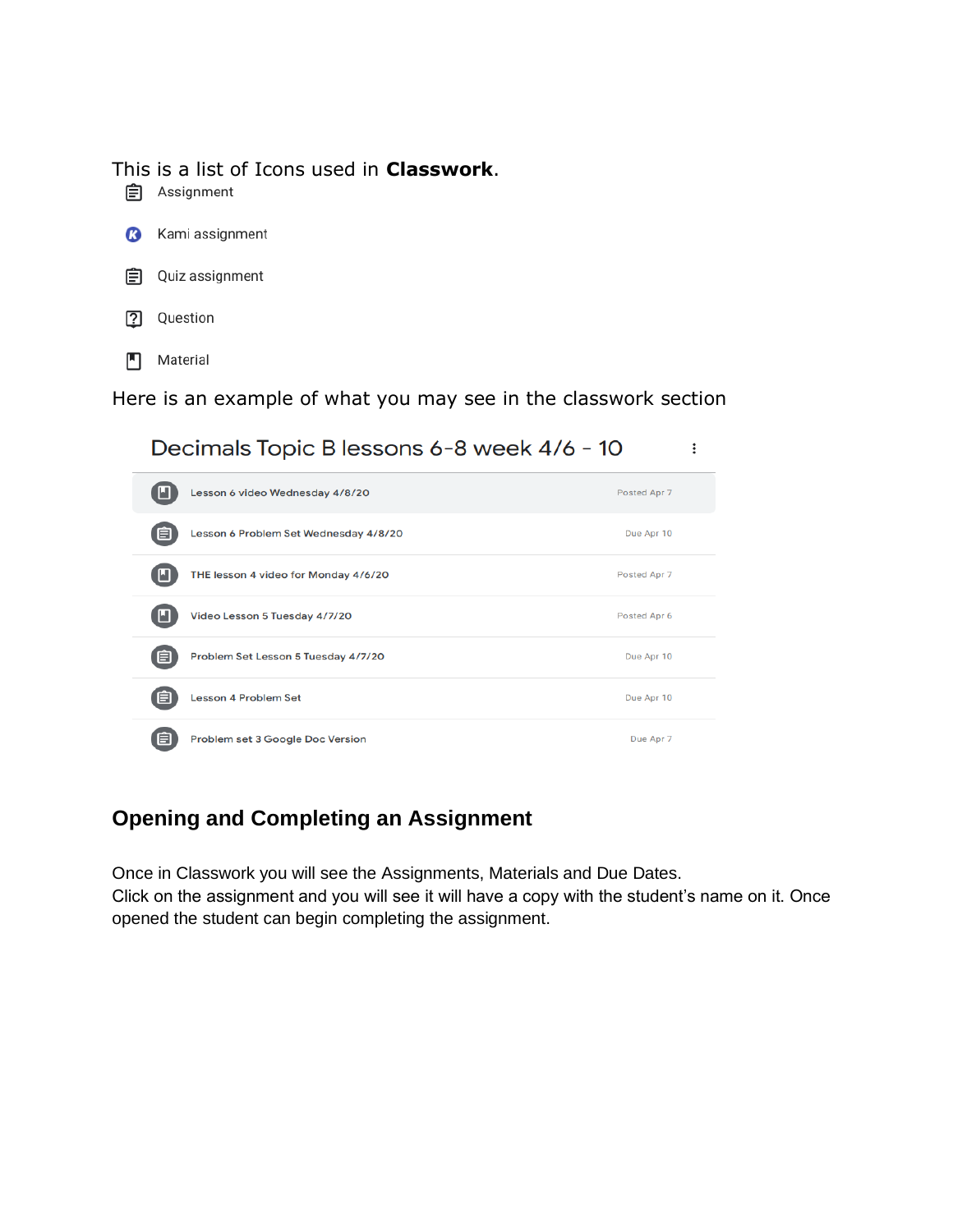#### This is a list of Icons used in **Classwork**.

**自** Assignment





- 卪 Question
- Material  $\blacksquare$

Here is an example of what you may see in the classwork section

 $\vdots$ 

Decimals Topic B lessons 6-8 week 4/6 - 10  $\blacksquare$ Lesson 6 video Wednesday 4/8/20 Posted Apr 7 自 Lesson 6 Problem Set Wednesday 4/8/20 Due Apr 10  $\blacksquare$ THE lesson 4 video for Monday 4/6/20 Posted Apr 7 n Video Lesson 5 Tuesday 4/7/20 Posted Apr 6 Problem Set Lesson 5 Tuesday 4/7/20 Due Apr 10 〔自 Lesson 4 Problem Set Due Apr 10 自 Problem set 3 Google Doc Version Due Apr 7

## **Opening and Completing an Assignment**

Once in Classwork you will see the Assignments, Materials and Due Dates. Click on the assignment and you will see it will have a copy with the student's name on it. Once opened the student can begin completing the assignment.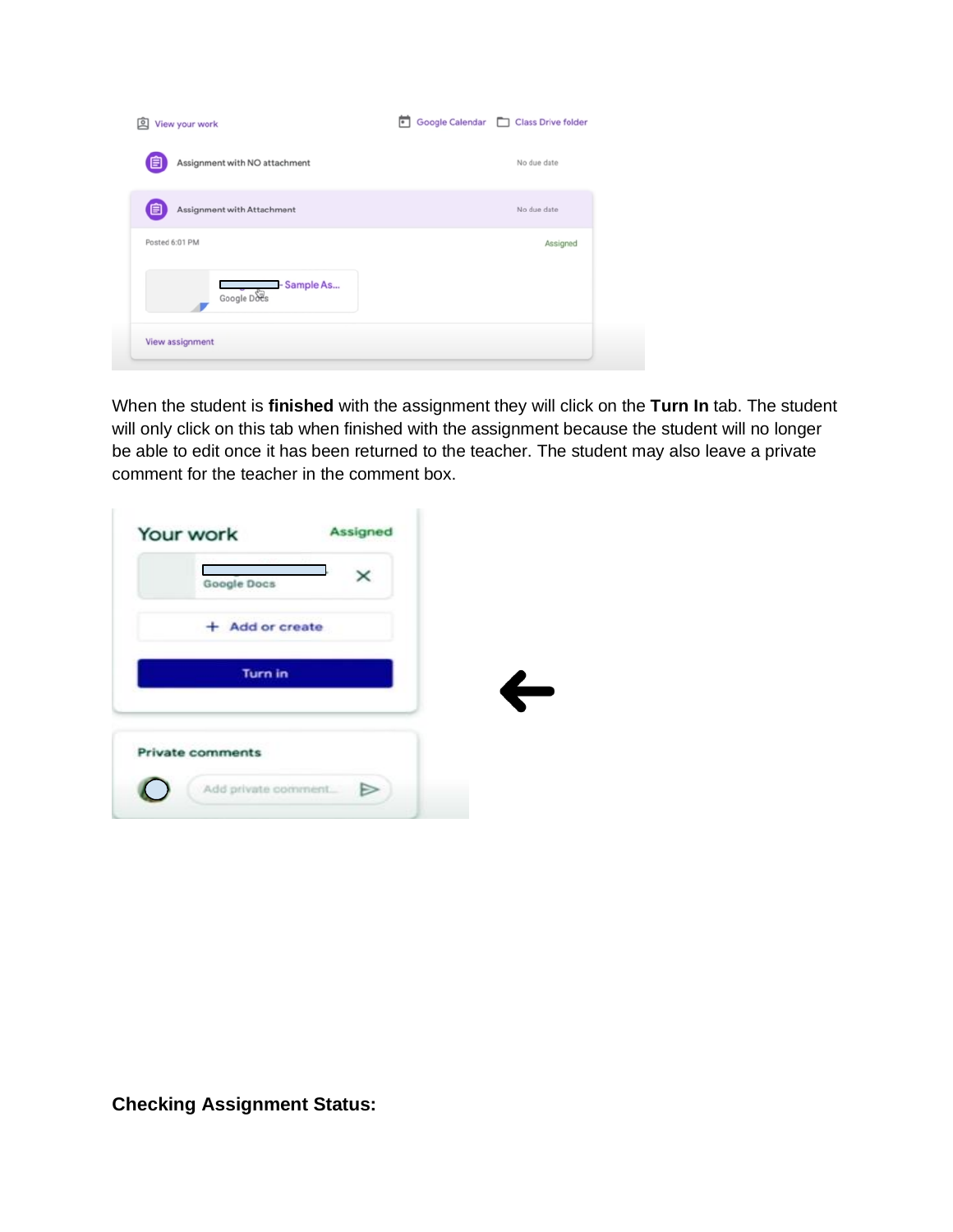| 叵<br>View your work                | Google Calendar   Class Drive folder |
|------------------------------------|--------------------------------------|
| Assignment with NO attachment<br>目 | No due date                          |
| Assignment with Attachment<br>E    | No due date                          |
| Posted 6:01 PM                     | Assigned                             |
| Sample As<br>Google Does           |                                      |
| View assignment                    |                                      |

When the student is **finished** with the assignment they will click on the **Turn In** tab. The student will only click on this tab when finished with the assignment because the student will no longer be able to edit once it has been returned to the teacher. The student may also leave a private comment for the teacher in the comment box.

| Google Docs      | × |  |
|------------------|---|--|
| Add or create    |   |  |
| <b>Turn in</b>   |   |  |
| Private comments |   |  |
|                  |   |  |

**Checking Assignment Status:**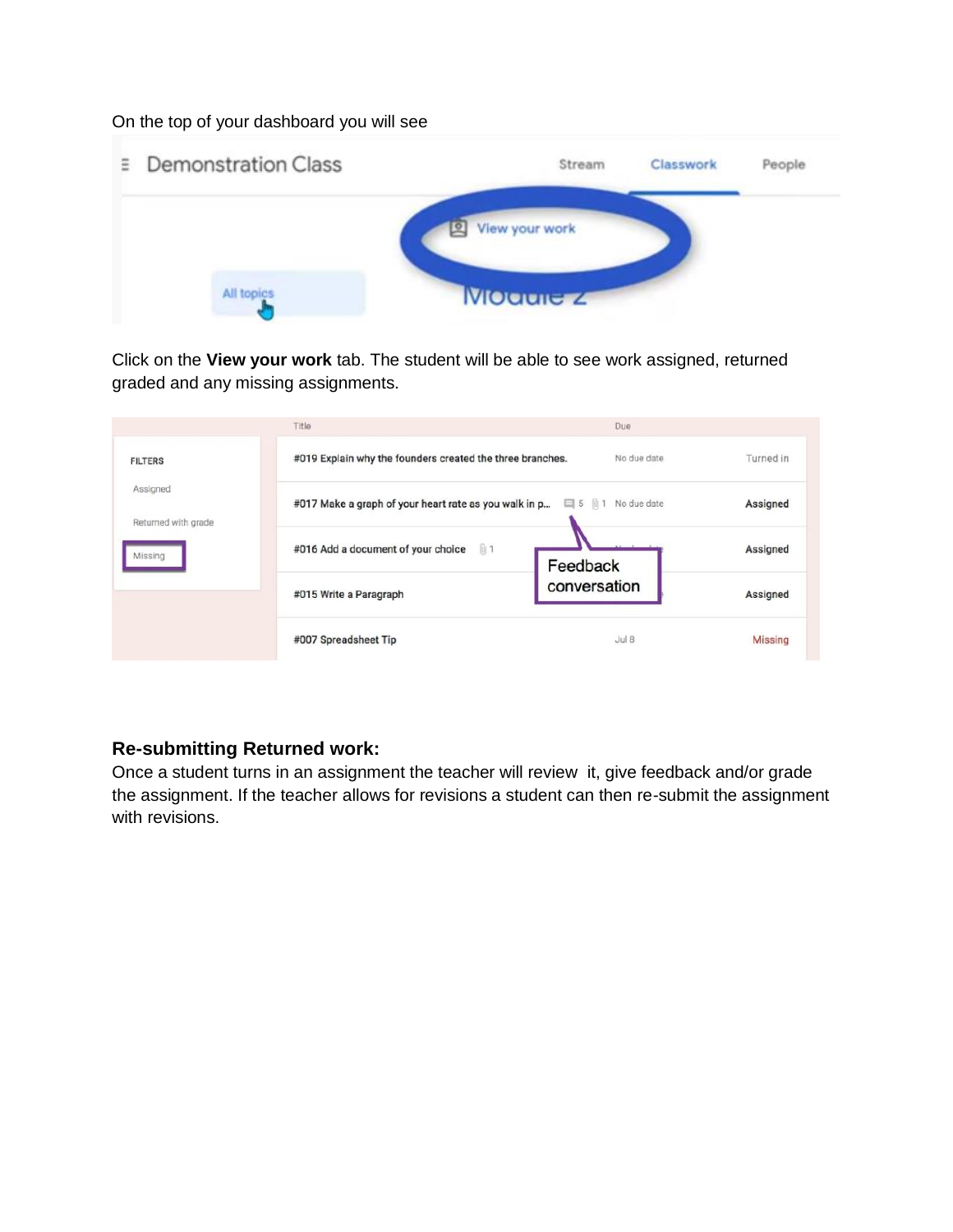On the top of your dashboard you will see



Click on the **View your work** tab. The student will be able to see work assigned, returned graded and any missing assignments.

|                                 | Title                                                                        | Due              |                |
|---------------------------------|------------------------------------------------------------------------------|------------------|----------------|
| <b>FILTERS</b>                  | #019 Explain why the founders created the three branches.                    | No due date      | Turned in      |
| Assigned<br>Returned with grade | #017 Make a graph of your heart rate as you walk in p<br>□ 5 仙 1 No due date |                  | Assigned       |
| Missing                         | #016 Add a document of your choice<br>01                                     | Feedback         | Assigned       |
|                                 | #015 Write a Paragraph                                                       | conversation     | Assigned       |
|                                 | #007 Spreadsheet Tip                                                         | Jul <sub>B</sub> | <b>Missing</b> |

#### **Re-submitting Returned work:**

Once a student turns in an assignment the teacher will review it, give feedback and/or grade the assignment. If the teacher allows for revisions a student can then re-submit the assignment with revisions.